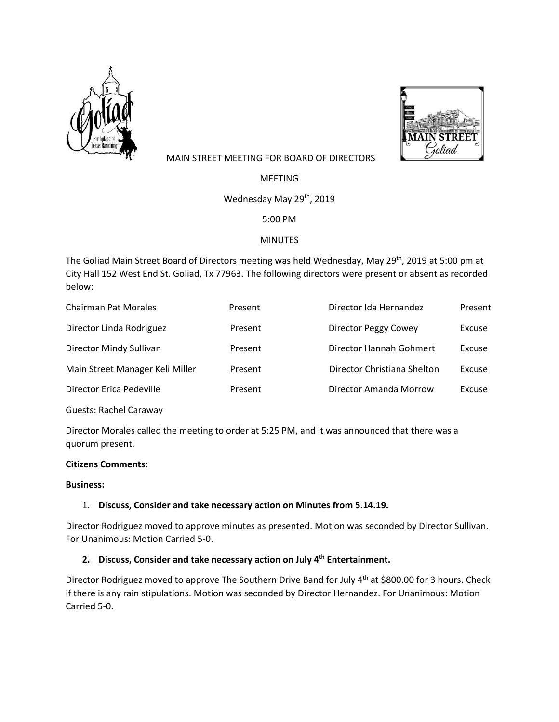



# MAIN STREET MEETING FOR BOARD OF DIRECTORS

MEETING

Wednesday May 29<sup>th</sup>, 2019

5:00 PM

# MINUTES

The Goliad Main Street Board of Directors meeting was held Wednesday, May 29<sup>th</sup>, 2019 at 5:00 pm at City Hall 152 West End St. Goliad, Tx 77963. The following directors were present or absent as recorded below:

| <b>Chairman Pat Morales</b>     | Present | Director Ida Hernandez      | Present |
|---------------------------------|---------|-----------------------------|---------|
| Director Linda Rodriguez        | Present | Director Peggy Cowey        | Excuse  |
| Director Mindy Sullivan         | Present | Director Hannah Gohmert     | Excuse  |
| Main Street Manager Keli Miller | Present | Director Christiana Shelton | Excuse  |
| Director Erica Pedeville        | Present | Director Amanda Morrow      | Excuse  |
|                                 |         |                             |         |

Guests: Rachel Caraway

Director Morales called the meeting to order at 5:25 PM, and it was announced that there was a quorum present.

# **Citizens Comments:**

#### **Business:**

# 1. **Discuss, Consider and take necessary action on Minutes from 5.14.19.**

Director Rodriguez moved to approve minutes as presented. Motion was seconded by Director Sullivan. For Unanimous: Motion Carried 5-0.

# **2. Discuss, Consider and take necessary action on July 4th Entertainment.**

Director Rodriguez moved to approve The Southern Drive Band for July 4<sup>th</sup> at \$800.00 for 3 hours. Check if there is any rain stipulations. Motion was seconded by Director Hernandez. For Unanimous: Motion Carried 5-0.